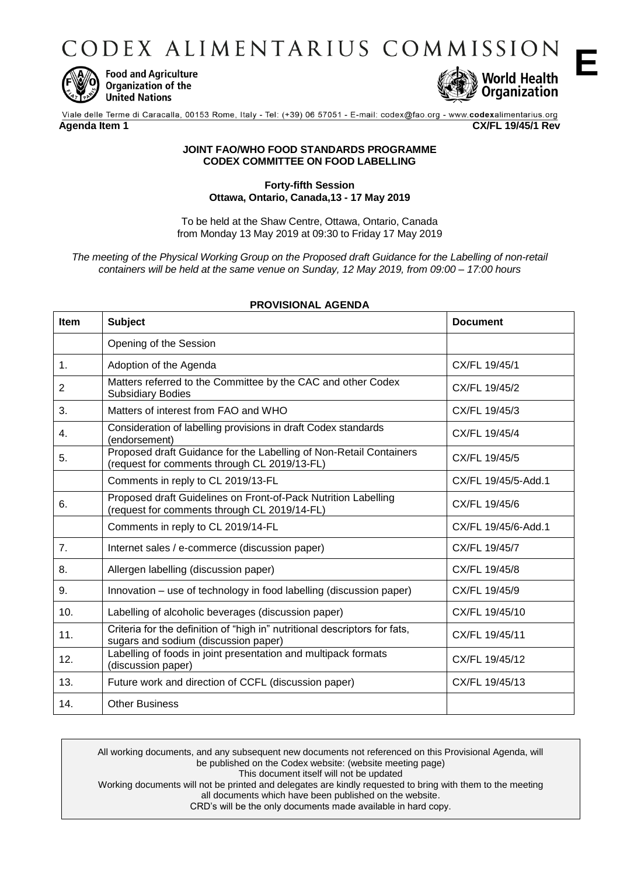CODEX ALIMENTARIUS COMMISSION



**Food and Agriculture** Organization of the **United Nations** 



**E**

Viale delle Terme di Caracalla, 00153 Rome, Italy - Tel: (+39) 06 57051 - E-mail: codex@fao.org - www.codexalimentarius.org **Agenda Item 1 CX/FL 19/45/1 Rev**

## **JOINT FAO/WHO FOOD STANDARDS PROGRAMME CODEX COMMITTEE ON FOOD LABELLING**

## **Forty-fifth Session Ottawa, Ontario, Canada,13 - 17 May 2019**

To be held at the Shaw Centre, Ottawa, Ontario, Canada from Monday 13 May 2019 at 09:30 to Friday 17 May 2019

*The meeting of the Physical Working Group on the Proposed draft Guidance for the Labelling of non-retail containers will be held at the same venue on Sunday, 12 May 2019, from 09:00 – 17:00 hours*

| <b>Item</b> | <b>Subject</b>                                                                                                     | <b>Document</b>     |
|-------------|--------------------------------------------------------------------------------------------------------------------|---------------------|
|             | Opening of the Session                                                                                             |                     |
| 1.          | Adoption of the Agenda                                                                                             | CX/FL 19/45/1       |
| 2           | Matters referred to the Committee by the CAC and other Codex<br><b>Subsidiary Bodies</b>                           | CX/FL 19/45/2       |
| 3.          | Matters of interest from FAO and WHO                                                                               | CX/FL 19/45/3       |
| 4.          | Consideration of labelling provisions in draft Codex standards<br>(endorsement)                                    | CX/FL 19/45/4       |
| 5.          | Proposed draft Guidance for the Labelling of Non-Retail Containers<br>(request for comments through CL 2019/13-FL) | CX/FL 19/45/5       |
|             | Comments in reply to CL 2019/13-FL                                                                                 | CX/FL 19/45/5-Add.1 |
| 6.          | Proposed draft Guidelines on Front-of-Pack Nutrition Labelling<br>(request for comments through CL 2019/14-FL)     | CX/FL 19/45/6       |
|             | Comments in reply to CL 2019/14-FL                                                                                 | CX/FL 19/45/6-Add.1 |
| 7.          | Internet sales / e-commerce (discussion paper)                                                                     | CX/FL 19/45/7       |
| 8.          | Allergen labelling (discussion paper)                                                                              | CX/FL 19/45/8       |
| 9.          | Innovation – use of technology in food labelling (discussion paper)                                                | CX/FL 19/45/9       |
| 10.         | Labelling of alcoholic beverages (discussion paper)                                                                | CX/FL 19/45/10      |
| 11.         | Criteria for the definition of "high in" nutritional descriptors for fats,<br>sugars and sodium (discussion paper) | CX/FL 19/45/11      |
| 12.         | Labelling of foods in joint presentation and multipack formats<br>(discussion paper)                               | CX/FL 19/45/12      |
| 13.         | Future work and direction of CCFL (discussion paper)                                                               | CX/FL 19/45/13      |
| 14.         | <b>Other Business</b>                                                                                              |                     |

## **PROVISIONAL AGENDA**

All working documents, and any subsequent new documents not referenced on this Provisional Agenda, will be published on the Codex website: (website meeting page) This document itself will not be updated Working documents will not be printed and delegates are kindly requested to bring with them to the meeting all documents which have been published on the website. CRD's will be the only documents made available in hard copy.